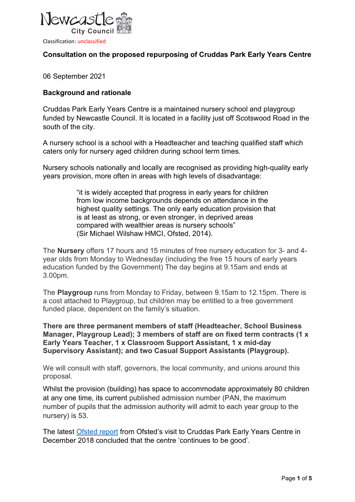

### Consultation on the proposed repurposing of Cruddas Park Early Years Centre

06 September 2021

### Background and rationale

Cruddas Park Early Years Centre is a maintained nursery school and playgroup funded by Newcastle Council. It is located in a facility just off Scotswood Road in the south of the city.

A nursery school is a school with a Headteacher and teaching qualified staff which caters only for nursery aged children during school term times.

Nursery schools nationally and locally are recognised as providing high-quality early years provision, more often in areas with high levels of disadvantage:

> "it is widely accepted that progress in early years for children from low income backgrounds depends on attendance in the highest quality settings. The only early education provision that is at least as strong, or even stronger, in deprived areas compared with wealthier areas is nursery schools" (Sir Michael Wilshaw HMCI, Ofsted, 2014).

The Nursery offers 17 hours and 15 minutes of free nursery education for 3- and 4 year olds from Monday to Wednesday (including the free 15 hours of early years education funded by the Government) The day begins at 9.15am and ends at 3.00pm.

The Playgroup runs from Monday to Friday, between 9.15am to 12.15pm. There is a cost attached to Playgroup, but children may be entitled to a free government funded place, dependent on the family's situation.

There are three permanent members of staff (Headteacher, School Business Manager, Playgroup Lead); 3 members of staff are on fixed term contracts (1 x Early Years Teacher, 1 x Classroom Support Assistant, 1 x mid-day Supervisory Assistant); and two Casual Support Assistants (Playgroup).

We will consult with staff, governors, the local community, and unions around this proposal.

Whilst the provision (building) has space to accommodate approximately 80 children at any one time, its current published admission number (PAN, the maximum number of pupils that the admission authority will admit to each year group to the nursery) is 53.

The latest Ofsted report from Ofsted's visit to Cruddas Park Early Years Centre in December 2018 concluded that the centre 'continues to be good'.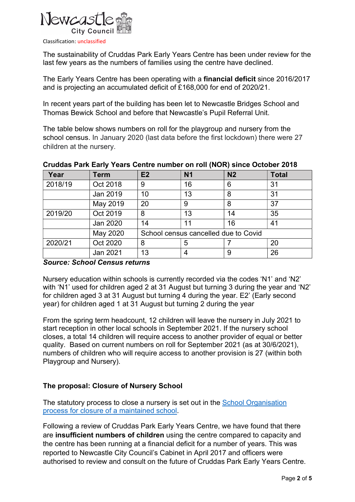

The sustainability of Cruddas Park Early Years Centre has been under review for the last few years as the numbers of families using the centre have declined.

The Early Years Centre has been operating with a financial deficit since 2016/2017 and is projecting an accumulated deficit of £168,000 for end of 2020/21.

In recent years part of the building has been let to Newcastle Bridges School and Thomas Bewick School and before that Newcastle's Pupil Referral Unit.

The table below shows numbers on roll for the playgroup and nursery from the school census. In January 2020 (last data before the first lockdown) there were 27 children at the nursery.

| Year    | <b>Term</b> | E2                                   | <b>N1</b> | N <sub>2</sub> | <b>Total</b> |
|---------|-------------|--------------------------------------|-----------|----------------|--------------|
| 2018/19 | Oct 2018    | 9                                    | 16        | 6              | 31           |
|         | Jan 2019    | 10                                   | 13        | 8              | 31           |
|         | May 2019    | 20                                   | 9         | 8              | 37           |
| 2019/20 | Oct 2019    | 8                                    | 13        | 14             | 35           |
|         | Jan 2020    | 14                                   | 11        | 16             | 41           |
|         | May 2020    | School census cancelled due to Covid |           |                |              |
| 2020/21 | Oct 2020    | 8                                    | 5         |                | 20           |
|         | Jan 2021    | 13                                   |           | 9              | 26           |

### Cruddas Park Early Years Centre number on roll (NOR) since October 2018

#### Source: School Census returns

Nursery education within schools is currently recorded via the codes 'N1' and 'N2' with 'N1' used for children aged 2 at 31 August but turning 3 during the year and 'N2' for children aged 3 at 31 August but turning 4 during the year. E2' (Early second year) for children aged 1 at 31 August but turning 2 during the year

From the spring term headcount, 12 children will leave the nursery in July 2021 to start reception in other local schools in September 2021. If the nursery school closes, a total 14 children will require access to another provider of equal or better quality. Based on current numbers on roll for September 2021 (as at 30/6/2021), numbers of children who will require access to another provision is 27 (within both Playgroup and Nursery).

### The proposal: Closure of Nursery School

The statutory process to close a nursery is set out in the School Organisation process for closure of a maintained school.

Following a review of Cruddas Park Early Years Centre, we have found that there are insufficient numbers of children using the centre compared to capacity and the centre has been running at a financial deficit for a number of years. This was reported to Newcastle City Council's Cabinet in April 2017 and officers were authorised to review and consult on the future of Cruddas Park Early Years Centre.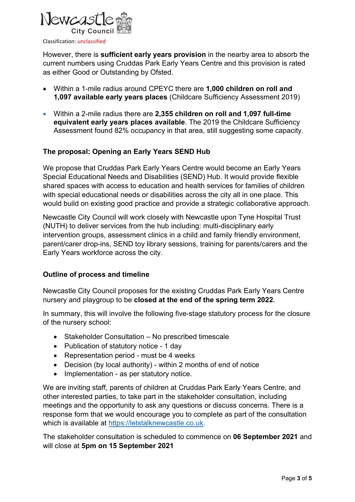

However, there is sufficient early years provision in the nearby area to absorb the current numbers using Cruddas Park Early Years Centre and this provision is rated as either Good or Outstanding by Ofsted.

- Within a 1-mile radius around CPEYC there are 1,000 children on roll and 1,097 available early years places (Childcare Sufficiency Assessment 2019)
- Within a 2-mile radius there are 2,355 children on roll and 1,097 full-time equivalent early years places available. The 2019 the Childcare Sufficiency Assessment found 82% occupancy in that area, still suggesting some capacity.

## The proposal: Opening an Early Years SEND Hub

We propose that Cruddas Park Early Years Centre would become an Early Years Special Educational Needs and Disabilities (SEND) Hub. It would provide flexible shared spaces with access to education and health services for families of children with special educational needs or disabilities across the city all in one place. This would build on existing good practice and provide a strategic collaborative approach.

Newcastle City Council will work closely with Newcastle upon Tyne Hospital Trust (NUTH) to deliver services from the hub including: multi-disciplinary early intervention groups, assessment clinics in a child and family friendly environment, parent/carer drop-ins, SEND toy library sessions, training for parents/carers and the Early Years workforce across the city.

### Outline of process and timeline

Newcastle City Council proposes for the existing Cruddas Park Early Years Centre nursery and playgroup to be closed at the end of the spring term 2022.

In summary, this will involve the following five-stage statutory process for the closure of the nursery school:

- Stakeholder Consultation No prescribed timescale
- Publication of statutory notice 1 day
- Representation period must be 4 weeks
- Decision (by local authority) within 2 months of end of notice
- Implementation as per statutory notice.

We are inviting staff, parents of children at Cruddas Park Early Years Centre, and other interested parties, to take part in the stakeholder consultation, including meetings and the opportunity to ask any questions or discuss concerns. There is a response form that we would encourage you to complete as part of the consultation which is available at https://letstalknewcastle.co.uk.

The stakeholder consultation is scheduled to commence on 06 September 2021 and will close at 5pm on 15 September 2021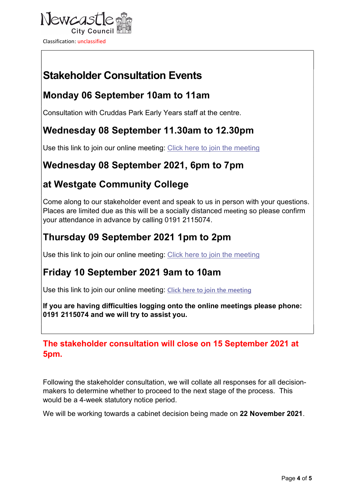

# Stakeholder Consultation Events

## Monday 06 September 10am to 11am

Consultation with Cruddas Park Early Years staff at the centre.

## Wednesday 08 September 11.30am to 12.30pm

Use this link to join our online meeting: Click here to join the meeting

## Wednesday 08 September 2021, 6pm to 7pm

## at Westgate Community College

Come along to our stakeholder event and speak to us in person with your questions. Places are limited due as this will be a socially distanced meeting so please confirm your attendance in advance by calling 0191 2115074.

## Thursday 09 September 2021 1pm to 2pm

Use this link to join our online meeting: Click here to join the meeting

## Friday 10 September 2021 9am to 10am

Use this link to join our online meeting: Click here to join the meeting

If you are having difficulties logging onto the online meetings please phone: 0191 2115074 and we will try to assist you.

## The stakeholder consultation will close on 15 September 2021 at 5pm.

Following the stakeholder consultation, we will collate all responses for all decisionmakers to determine whether to proceed to the next stage of the process. This would be a 4-week statutory notice period.

We will be working towards a cabinet decision being made on 22 November 2021.